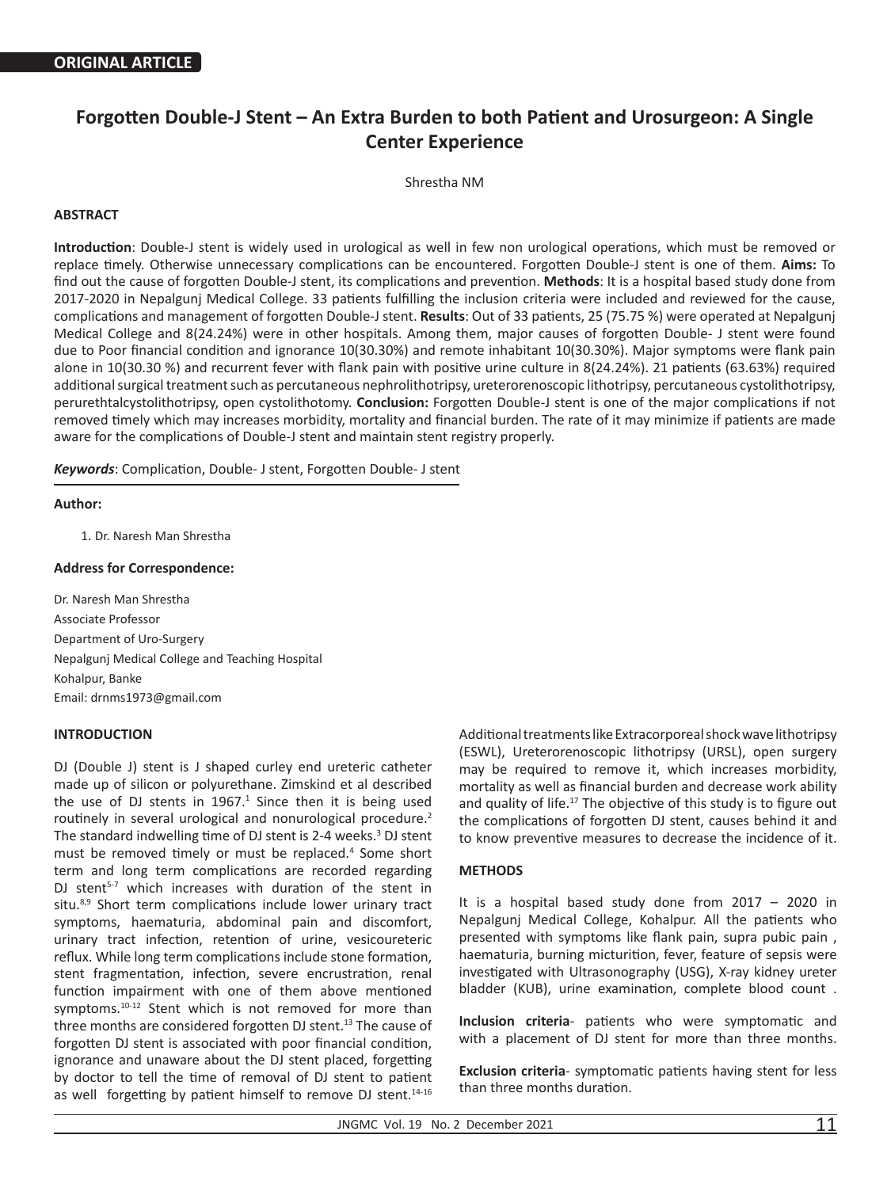# **Forgotten Double-J Stent – An Extra Burden to both Patient and Urosurgeon: A Single Center Experience**

Shrestha NM

# **ABSTRACT**

**Introduction**: Double-J stent is widely used in urological as well in few non urological operations, which must be removed or replace timely. Otherwise unnecessary complications can be encountered. Forgotten Double-J stent is one of them. **Aims:** To find out the cause of forgotten Double-J stent, its complications and prevention. **Methods**: It is a hospital based study done from 2017-2020 in Nepalgunj Medical College. 33 patients fulfilling the inclusion criteria were included and reviewed for the cause, complications and management of forgotten Double-J stent. **Results**: Out of 33 patients, 25 (75.75 %) were operated at Nepalgunj Medical College and 8(24.24%) were in other hospitals. Among them, major causes of forgotten Double- J stent were found due to Poor financial condition and ignorance 10(30.30%) and remote inhabitant 10(30.30%). Major symptoms were flank pain alone in 10(30.30 %) and recurrent fever with flank pain with positive urine culture in 8(24.24%). 21 patients (63.63%) required additional surgical treatment such as percutaneous nephrolithotripsy, ureterorenoscopic lithotripsy, percutaneous cystolithotripsy, perurethtalcystolithotripsy, open cystolithotomy. **Conclusion:** Forgotten Double-J stent is one of the major complications if not removed timely which may increases morbidity, mortality and financial burden. The rate of it may minimize if patients are made aware for the complications of Double-J stent and maintain stent registry properly.

*Keywords*: Complication, Double- J stent, Forgotten Double- J stent

## **Author:**

1. Dr. Naresh Man Shrestha

#### **Address for Correspondence:**

Dr. Naresh Man Shrestha Associate Professor Department of Uro-Surgery Nepalgunj Medical College and Teaching Hospital Kohalpur, Banke Email: drnms1973@gmail.com

# **INTRODUCTION**

DJ (Double J) stent is J shaped curley end ureteric catheter made up of silicon or polyurethane. Zimskind et al described the use of DJ stents in  $1967<sup>1</sup>$  Since then it is being used routinely in several urological and nonurological procedure.<sup>2</sup> The standard indwelling time of DJ stent is 2-4 weeks.<sup>3</sup> DJ stent must be removed timely or must be replaced.<sup>4</sup> Some short term and long term complications are recorded regarding DJ stent<sup>5-7</sup> which increases with duration of the stent in situ.<sup>8,9</sup> Short term complications include lower urinary tract symptoms, haematuria, abdominal pain and discomfort, urinary tract infection, retention of urine, vesicoureteric reflux. While long term complications include stone formation, stent fragmentation, infection, severe encrustration, renal function impairment with one of them above mentioned symptoms.<sup>10-12</sup> Stent which is not removed for more than three months are considered forgotten DJ stent.<sup>13</sup> The cause of forgotten DJ stent is associated with poor financial condition, ignorance and unaware about the DJ stent placed, forgetting by doctor to tell the time of removal of DJ stent to patient as well forgetting by patient himself to remove DJ stent.<sup>14-16</sup>

Additional treatments like Extracorporeal shock wave lithotripsy (ESWL), Ureterorenoscopic lithotripsy (URSL), open surgery may be required to remove it, which increases morbidity, mortality as well as financial burden and decrease work ability and quality of life.<sup>17</sup> The objective of this study is to figure out the complications of forgotten DJ stent, causes behind it and to know preventive measures to decrease the incidence of it.

## **METHODS**

It is a hospital based study done from 2017 – 2020 in Nepalgunj Medical College, Kohalpur. All the patients who presented with symptoms like flank pain, supra pubic pain , haematuria, burning micturition, fever, feature of sepsis were investigated with Ultrasonography (USG), X-ray kidney ureter bladder (KUB), urine examination, complete blood count .

**Inclusion criteria**- patients who were symptomatic and with a placement of DJ stent for more than three months.

**Exclusion criteria**- symptomatic patients having stent for less than three months duration.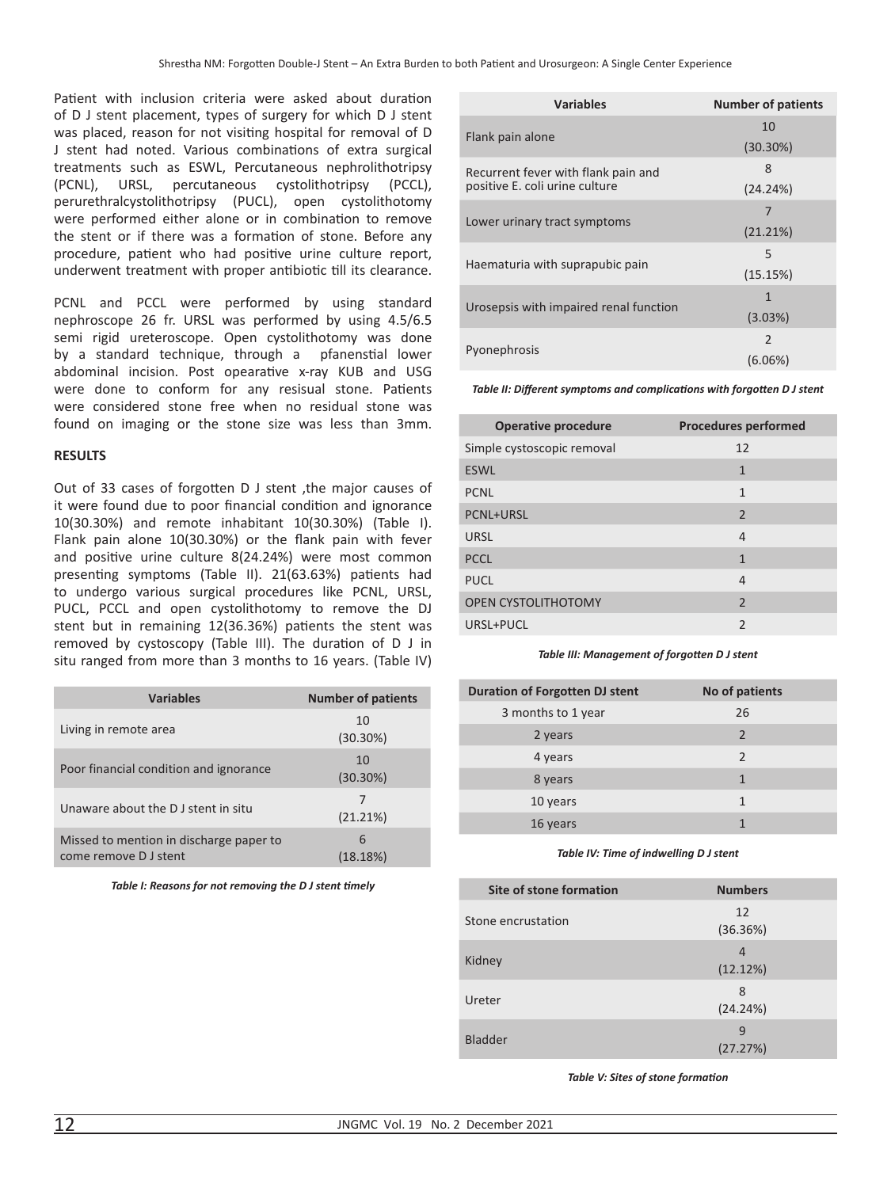Patient with inclusion criteria were asked about duration of D J stent placement, types of surgery for which D J stent was placed, reason for not visiting hospital for removal of D J stent had noted. Various combinations of extra surgical treatments such as ESWL, Percutaneous nephrolithotripsy (PCNL), URSL, percutaneous cystolithotripsy (PCCL), perurethralcystolithotripsy (PUCL), open cystolithotomy were performed either alone or in combination to remove the stent or if there was a formation of stone. Before any procedure, patient who had positive urine culture report, underwent treatment with proper antibiotic till its clearance.

PCNL and PCCL were performed by using standard nephroscope 26 fr. URSL was performed by using 4.5/6.5 semi rigid ureteroscope. Open cystolithotomy was done by a standard technique, through a pfanenstial lower abdominal incision. Post opearative x-ray KUB and USG were done to conform for any resisual stone. Patients were considered stone free when no residual stone was found on imaging or the stone size was less than 3mm.

### **RESULTS**

Out of 33 cases of forgotten D J stent ,the major causes of it were found due to poor financial condition and ignorance 10(30.30%) and remote inhabitant 10(30.30%) (Table I). Flank pain alone 10(30.30%) or the flank pain with fever and positive urine culture 8(24.24%) were most common presenting symptoms (Table II). 21(63.63%) patients had to undergo various surgical procedures like PCNL, URSL, PUCL, PCCL and open cystolithotomy to remove the DJ stent but in remaining 12(36.36%) patients the stent was removed by cystoscopy (Table III). The duration of D J in situ ranged from more than 3 months to 16 years. (Table IV)

| <b>Variables</b>                                                 | <b>Number of patients</b> |
|------------------------------------------------------------------|---------------------------|
| Living in remote area                                            | 10<br>$(30.30\%)$         |
| Poor financial condition and ignorance                           | 10<br>$(30.30\%)$         |
| Unaware about the DJ stent in situ                               | 7<br>(21.21%)             |
| Missed to mention in discharge paper to<br>come remove D J stent | 6<br>(18.18%)             |

*Table I: Reasons for not removing the D J stent timely*

| <b>Variables</b>                                                      | <b>Number of patients</b> |
|-----------------------------------------------------------------------|---------------------------|
| Flank pain alone                                                      | 10                        |
|                                                                       | $(30.30\%)$               |
| Recurrent fever with flank pain and<br>positive E. coli urine culture | 8                         |
|                                                                       | (24.24%)                  |
|                                                                       | 7                         |
| Lower urinary tract symptoms                                          | (21.21%)                  |
|                                                                       | 5                         |
| Haematuria with suprapubic pain                                       | (15.15%)                  |
| Urosepsis with impaired renal function                                | $\mathbf{1}$              |
|                                                                       | (3.03%)                   |
| Pyonephrosis                                                          | $\mathfrak{D}$            |
|                                                                       | (6.06%)                   |

*Table II: Different symptoms and complications with forgotten D J stent*

| <b>Operative procedure</b> | <b>Procedures performed</b> |
|----------------------------|-----------------------------|
| Simple cystoscopic removal | 12                          |
| <b>ESWL</b>                | $\mathbf{1}$                |
| <b>PCNL</b>                | 1                           |
| <b>PCNL+URSL</b>           | $\overline{2}$              |
| <b>URSL</b>                | $\overline{4}$              |
| <b>PCCL</b>                | $\mathbf{1}$                |
| <b>PUCL</b>                | $\overline{4}$              |
| <b>OPEN CYSTOLITHOTOMY</b> | 2                           |
| URSL+PUCL                  | $\overline{2}$              |

*Table III: Management of forgotten D J stent*

| <b>Duration of Forgotten DJ stent</b> | No of patients |
|---------------------------------------|----------------|
| 3 months to 1 year                    | 26             |
| 2 years                               | 2              |
| 4 years                               | $\mathcal{P}$  |
| 8 years                               | 1              |
| 10 years                              | $\mathbf{1}$   |
| 16 years                              |                |
|                                       |                |

*Table IV: Time of indwelling D J stent*

| Site of stone formation | <b>Numbers</b> |
|-------------------------|----------------|
| Stone encrustation      | 12<br>(36.36%) |
| Kidney                  | 4<br>(12.12%)  |
| Ureter                  | 8<br>(24.24%)  |
| <b>Bladder</b>          | 9<br>(27.27%)  |

*Table V: Sites of stone formation*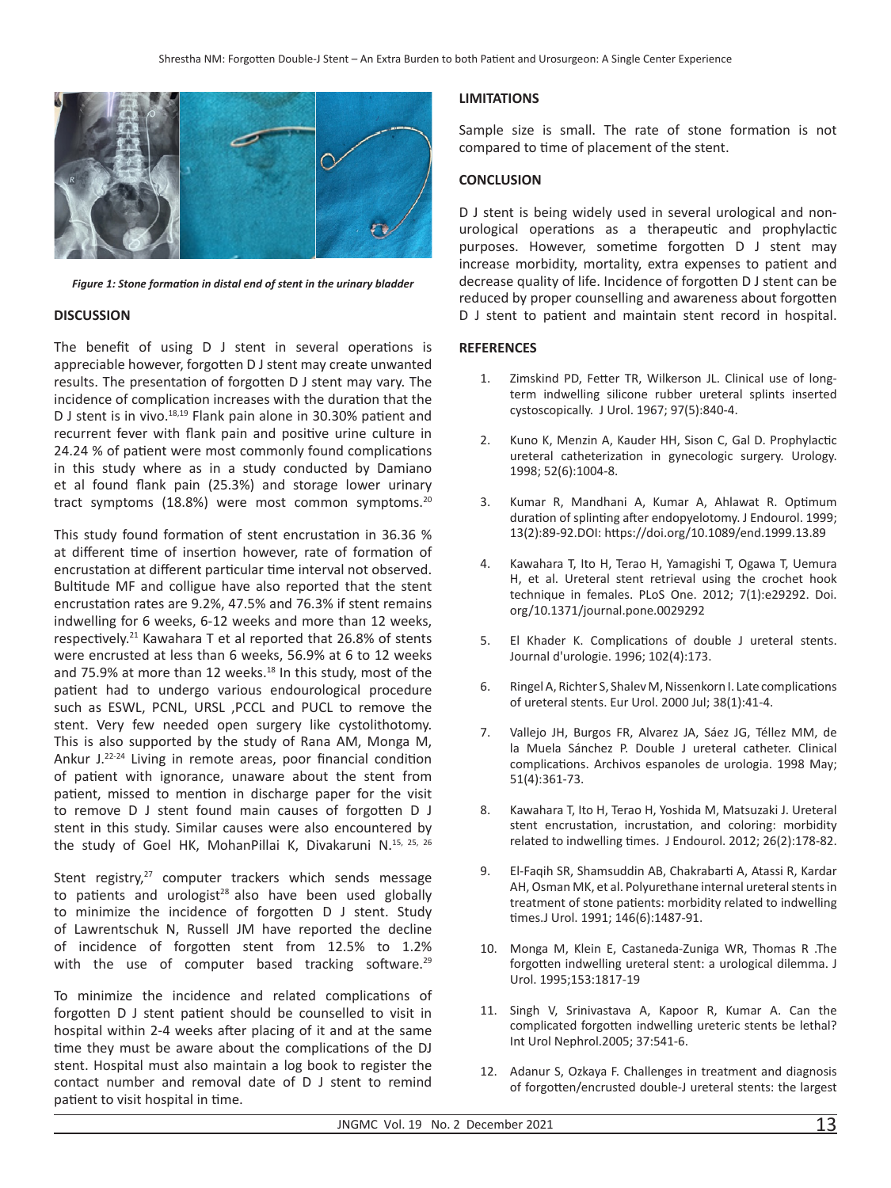

*Figure 1: Stone formation in distal end of stent in the urinary bladder*

#### **DISCUSSION**

The benefit of using D J stent in several operations is appreciable however, forgotten D J stent may create unwanted results. The presentation of forgotten D J stent may vary. The incidence of complication increases with the duration that the D J stent is in vivo.<sup>18,19</sup> Flank pain alone in 30.30% patient and recurrent fever with flank pain and positive urine culture in 24.24 % of patient were most commonly found complications in this study where as in a study conducted by Damiano et al found flank pain (25.3%) and storage lower urinary tract symptoms (18.8%) were most common symptoms.<sup>20</sup>

This study found formation of stent encrustation in 36.36 % at different time of insertion however, rate of formation of encrustation at different particular time interval not observed. Bultitude MF and colligue have also reported that the stent encrustation rates are 9.2%, 47.5% and 76.3% if stent remains indwelling for 6 weeks, 6-12 weeks and more than 12 weeks, respectively.<sup>21</sup> Kawahara T et al reported that 26.8% of stents were encrusted at less than 6 weeks, 56.9% at 6 to 12 weeks and 75.9% at more than 12 weeks. $18$  In this study, most of the patient had to undergo various endourological procedure such as ESWL, PCNL, URSL ,PCCL and PUCL to remove the stent. Very few needed open surgery like cystolithotomy. This is also supported by the study of Rana AM, Monga M, Ankur J.22-24 Living in remote areas, poor financial condition of patient with ignorance, unaware about the stent from patient, missed to mention in discharge paper for the visit to remove D J stent found main causes of forgotten D J stent in this study. Similar causes were also encountered by the study of Goel HK, MohanPillai K, Divakaruni N.15, 25, 26

Stent registry, $27$  computer trackers which sends message to patients and urologist $^{28}$  also have been used globally to minimize the incidence of forgotten D J stent. Study of Lawrentschuk N, Russell JM have reported the decline of incidence of forgotten stent from 12.5% to 1.2% with the use of computer based tracking software.<sup>29</sup>

To minimize the incidence and related complications of forgotten D J stent patient should be counselled to visit in hospital within 2-4 weeks after placing of it and at the same time they must be aware about the complications of the DJ stent. Hospital must also maintain a log book to register the contact number and removal date of D J stent to remind patient to visit hospital in time.

#### **LIMITATIONS**

Sample size is small. The rate of stone formation is not compared to time of placement of the stent.

### **CONCLUSION**

D J stent is being widely used in several urological and nonurological operations as a therapeutic and prophylactic purposes. However, sometime forgotten D J stent may increase morbidity, mortality, extra expenses to patient and decrease quality of life. Incidence of forgotten D J stent can be reduced by proper counselling and awareness about forgotten D J stent to patient and maintain stent record in hospital.

#### **REFERENCES**

- 1. Zimskind PD, Fetter TR, Wilkerson JL. Clinical use of longterm indwelling silicone rubber ureteral splints inserted cystoscopically. J Urol. 1967; 97(5):840-4.
- 2. Kuno K, Menzin A, Kauder HH, Sison C, Gal D. Prophylactic ureteral catheterization in gynecologic surgery. Urology. 1998; 52(6):1004-8.
- 3. Kumar R, Mandhani A, Kumar A, Ahlawat R. Optimum duration of splinting after endopyelotomy. J Endourol. 1999; 13(2):89-92.DOI: https://doi.org/10.1089/end.1999.13.89
- 4. Kawahara T, Ito H, Terao H, Yamagishi T, Ogawa T, Uemura H, et al. Ureteral stent retrieval using the crochet hook technique in females. PLoS One. 2012; 7(1):e29292. Doi. org/10.1371/journal.pone.0029292
- 5. El Khader K. Complications of double J ureteral stents. Journal d'urologie. 1996; 102(4):173.
- 6. Ringel A, Richter S, Shalev M, Nissenkorn I. Late complications of ureteral stents. Eur Urol. 2000 Jul; 38(1):41-4.
- 7. Vallejo JH, Burgos FR, Alvarez JA, Sáez JG, Téllez MM, de la Muela Sánchez P. Double J ureteral catheter. Clinical complications. Archivos espanoles de urologia. 1998 May; 51(4):361-73.
- 8. Kawahara T, Ito H, Terao H, Yoshida M, Matsuzaki J. Ureteral stent encrustation, incrustation, and coloring: morbidity related to indwelling times. J Endourol. 2012; 26(2):178-82.
- 9. El-Faqih SR, Shamsuddin AB, Chakrabarti A, Atassi R, Kardar AH, Osman MK, et al. Polyurethane internal ureteral stents in treatment of stone patients: morbidity related to indwelling times.J Urol. 1991; 146(6):1487-91.
- 10. Monga M, Klein E, Castaneda-Zuniga WR, Thomas R .The forgotten indwelling ureteral stent: a urological dilemma. J Urol. 1995;153:1817-19
- 11. Singh V, Srinivastava A, Kapoor R, Kumar A. Can the complicated forgotten indwelling ureteric stents be lethal? Int Urol Nephrol.2005; 37:541-6.
- 12. Adanur S, Ozkaya F. Challenges in treatment and diagnosis of forgotten/encrusted double-J ureteral stents: the largest